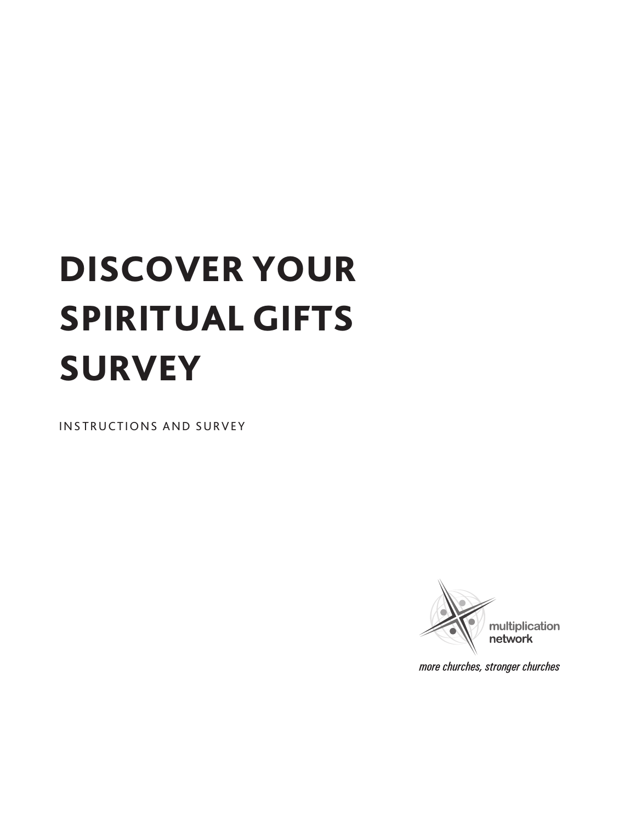# DISCOVER YOUR SPIRITUAL GIFTS **SURVEY**

INSTRUCTIONS AND SURVEY



more churches, stronger churches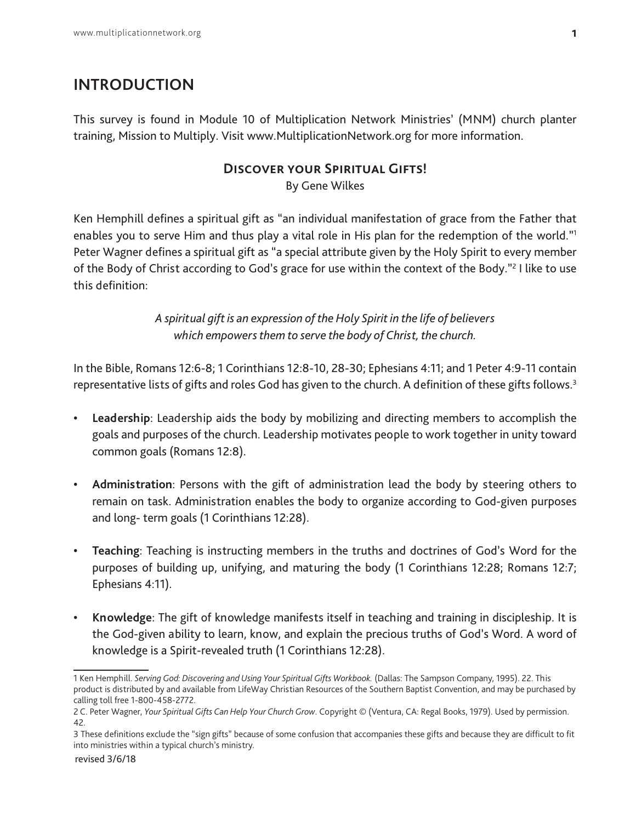## **INTRODUCTION**

This survey is found in Module 10 of Multiplication Network Ministries' (MNM) church planter training, Mission to Multiply. Visit www.MultiplicationNetwork.org for more information.

### **Discover your Spiritual Gifts!**

By Gene Wilkes

Ken Hemphill defines a spiritual gift as "an individual manifestation of grace from the Father that enables you to serve Him and thus play a vital role in His plan for the redemption of the world."1 Peter Wagner defines a spiritual gift as "a special attribute given by the Holy Spirit to every member of the Body of Christ according to God's grace for use within the context of the Body."<sup>2</sup> I like to use this definition:

> *A spiritual gift is an expression of the Holy Spirit in the life of believers which empowers them to serve the body of Christ, the church.*

In the Bible, Romans 12:6-8; 1 Corinthians 12:8-10, 28-30; Ephesians 4:11; and 1 Peter 4:9-11 contain representative lists of gifts and roles God has given to the church. A definition of these gifts follows.<sup>3</sup>

- **• Leadership**: Leadership aids the body by mobilizing and directing members to accomplish the goals and purposes of the church. Leadership motivates people to work together in unity toward common goals (Romans 12:8).
- **• Administration**: Persons with the gift of administration lead the body by steering others to remain on task. Administration enables the body to organize according to God-given purposes and long- term goals (1 Corinthians 12:28).
- **• Teaching**: Teaching is instructing members in the truths and doctrines of God's Word for the purposes of building up, unifying, and maturing the body (1 Corinthians 12:28; Romans 12:7; Ephesians 4:11).
- **• Knowledge**: The gift of knowledge manifests itself in teaching and training in discipleship. It is the God-given ability to learn, know, and explain the precious truths of God's Word. A word of knowledge is a Spirit-revealed truth (1 Corinthians 12:28).

<sup>1</sup> Ken Hemphill. *Serving God: Discovering and Using Your Spiritual Gifts Workbook.* (Dallas: The Sampson Company, 1995). 22. This product is distributed by and available from LifeWay Christian Resources of the Southern Baptist Convention, and may be purchased by calling toll free 1-800-458-2772.

<sup>2</sup> C. Peter Wagner, *Your Spiritual Gifts Can Help Your Church Grow*. Copyright © (Ventura, CA: Regal Books, 1979). Used by permission. 42.

<sup>3</sup> These definitions exclude the "sign gifts" because of some confusion that accompanies these gifts and because they are difficult to fit into ministries within a typical church's ministry.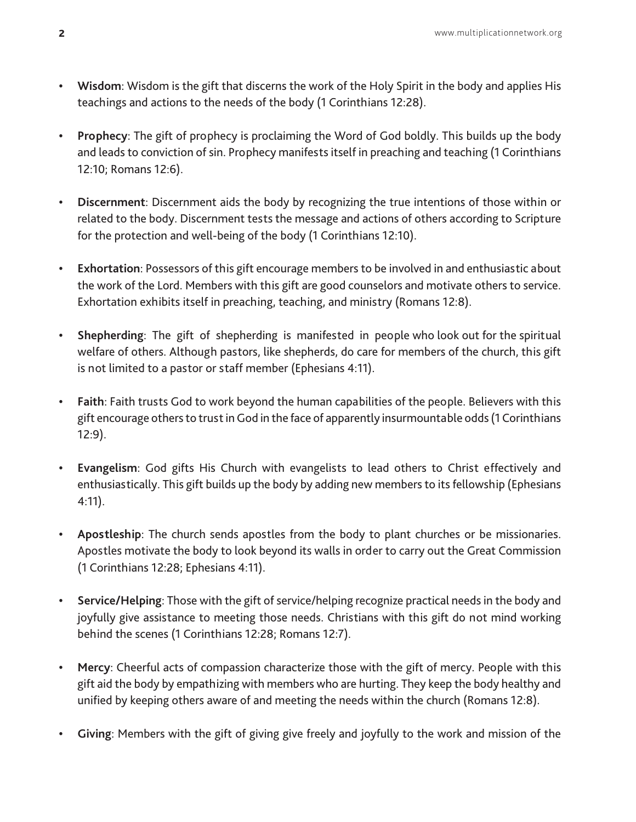- **• Wisdom**: Wisdom is the gift that discerns the work of the Holy Spirit in the body and applies His teachings and actions to the needs of the body (1 Corinthians 12:28).
- **• Prophecy**: The gift of prophecy is proclaiming the Word of God boldly. This builds up the body and leads to conviction of sin. Prophecy manifests itself in preaching and teaching (1 Corinthians 12:10; Romans 12:6).
- **• Discernment**: Discernment aids the body by recognizing the true intentions of those within or related to the body. Discernment tests the message and actions of others according to Scripture for the protection and well-being of the body (1 Corinthians 12:10).
- **• Exhortation**: Possessors of this gift encourage members to be involved in and enthusiastic about the work of the Lord. Members with this gift are good counselors and motivate others to service. Exhortation exhibits itself in preaching, teaching, and ministry (Romans 12:8).
- **• Shepherding**: The gift of shepherding is manifested in people who look out for the spiritual welfare of others. Although pastors, like shepherds, do care for members of the church, this gift is not limited to a pastor or staff member (Ephesians 4:11).
- **• Faith**: Faith trusts God to work beyond the human capabilities of the people. Believers with this gift encourage others to trust in God in the face of apparently insurmountable odds (1 Corinthians 12:9).
- **• Evangelism**: God gifts His Church with evangelists to lead others to Christ effectively and enthusiastically. This gift builds up the body by adding new members to its fellowship (Ephesians 4:11).
- **• Apostleship**: The church sends apostles from the body to plant churches or be missionaries. Apostles motivate the body to look beyond its walls in order to carry out the Great Commission (1 Corinthians 12:28; Ephesians 4:11).
- **• Service/Helping**: Those with the gift of service/helping recognize practical needs in the body and joyfully give assistance to meeting those needs. Christians with this gift do not mind working behind the scenes (1 Corinthians 12:28; Romans 12:7).
- **• Mercy**: Cheerful acts of compassion characterize those with the gift of mercy. People with this gift aid the body by empathizing with members who are hurting. They keep the body healthy and unified by keeping others aware of and meeting the needs within the church (Romans 12:8).
- **• Giving**: Members with the gift of giving give freely and joyfully to the work and mission of the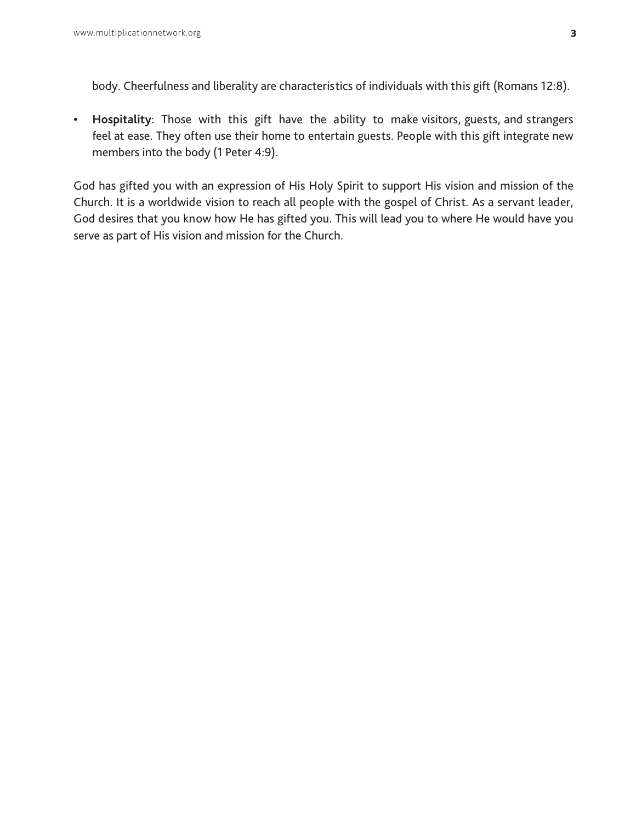body. Cheerfulness and liberality are characteristics of individuals with this gift (Romans 12:8).

**• Hospitality**: Those with this gift have the ability to make visitors, guests, and strangers feel at ease. They often use their home to entertain guests. People with this gift integrate new members into the body (1 Peter 4:9).

God has gifted you with an expression of His Holy Spirit to support His vision and mission of the Church. It is a worldwide vision to reach all people with the gospel of Christ. As a servant leader, God desires that you know how He has gifted you. This will lead you to where He would have you serve as part of His vision and mission for the Church.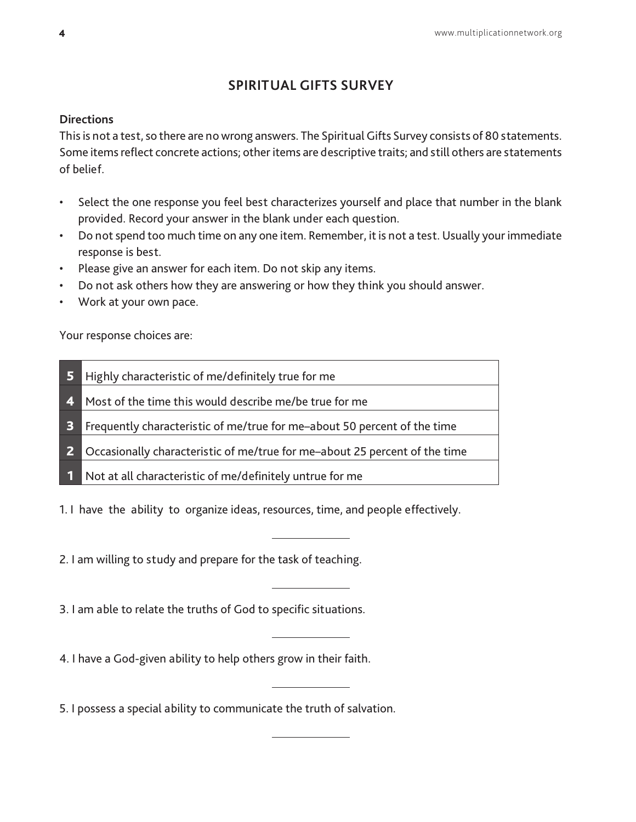## **SPIRITUAL GIFTS SURVEY**

### **Directions**

This is not a test, so there are no wrong answers. The Spiritual Gifts Survey consists of 80 statements. Some items reflect concrete actions; other items are descriptive traits; and still others are statements of belief.

- Select the one response you feel best characterizes yourself and place that number in the blank provided. Record your answer in the blank under each question.
- Do not spend too much time on any one item. Remember, it is not a test. Usually your immediate response is best.
- Please give an answer for each item. Do not skip any items.
- Do not ask others how they are answering or how they think you should answer.
- Work at your own pace.

Your response choices are:

| 5                       | Highly characteristic of me/definitely true for me                           |
|-------------------------|------------------------------------------------------------------------------|
|                         |                                                                              |
|                         | 4 Most of the time this would describe me/be true for me                     |
|                         |                                                                              |
| $\overline{\mathbf{3}}$ | Frequently characteristic of me/true for me-about 50 percent of the time     |
|                         | 2 Occasionally characteristic of me/true for me-about 25 percent of the time |
|                         |                                                                              |
|                         | 1 Not at all characteristic of me/definitely untrue for me                   |

1. I have the ability to organize ideas, resources, time, and people effectively.

2. I am willing to study and prepare for the task of teaching.

3. I am able to relate the truths of God to specific situations.

4. I have a God-given ability to help others grow in their faith.

5. I possess a special ability to communicate the truth of salvation.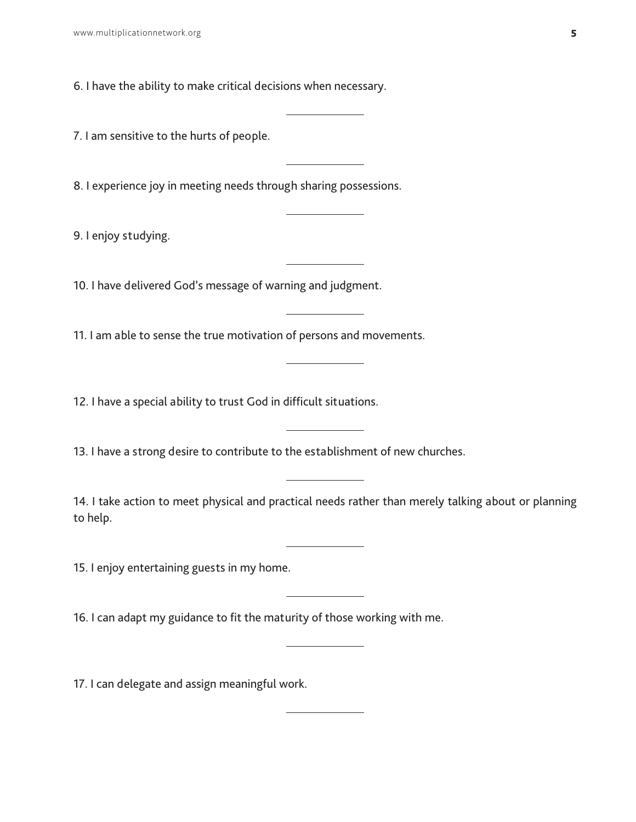6. I have the ability to make critical decisions when necessary.

7. I am sensitive to the hurts of people.

8. I experience joy in meeting needs through sharing possessions.

9. I enjoy studying.

10. I have delivered God's message of warning and judgment.

11. I am able to sense the true motivation of persons and movements.

12. I have a special ability to trust God in difficult situations.

13. I have a strong desire to contribute to the establishment of new churches.

14. I take action to meet physical and practical needs rather than merely talking about or planning to help.

15. I enjoy entertaining guests in my home.

16. I can adapt my guidance to fit the maturity of those working with me.

17. I can delegate and assign meaningful work.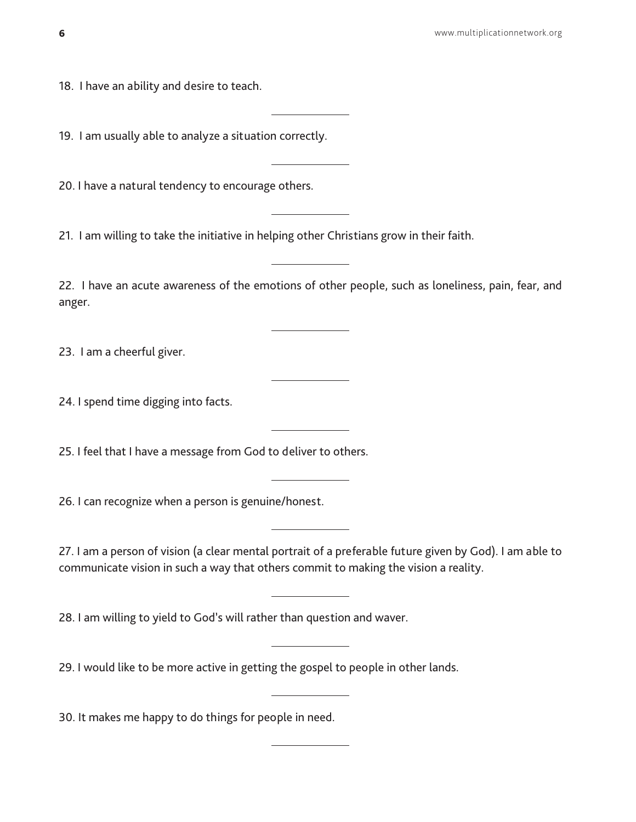18. I have an ability and desire to teach.

19. I am usually able to analyze a situation correctly.

20. I have a natural tendency to encourage others.

21. I am willing to take the initiative in helping other Christians grow in their faith.

22. I have an acute awareness of the emotions of other people, such as loneliness, pain, fear, and anger.

23. I am a cheerful giver.

24. I spend time digging into facts.

25. I feel that I have a message from God to deliver to others.

26. I can recognize when a person is genuine/honest.

27. I am a person of vision (a clear mental portrait of a preferable future given by God). I am able to communicate vision in such a way that others commit to making the vision a reality.

28. I am willing to yield to God's will rather than question and waver.

29. I would like to be more active in getting the gospel to people in other lands.

30. It makes me happy to do things for people in need.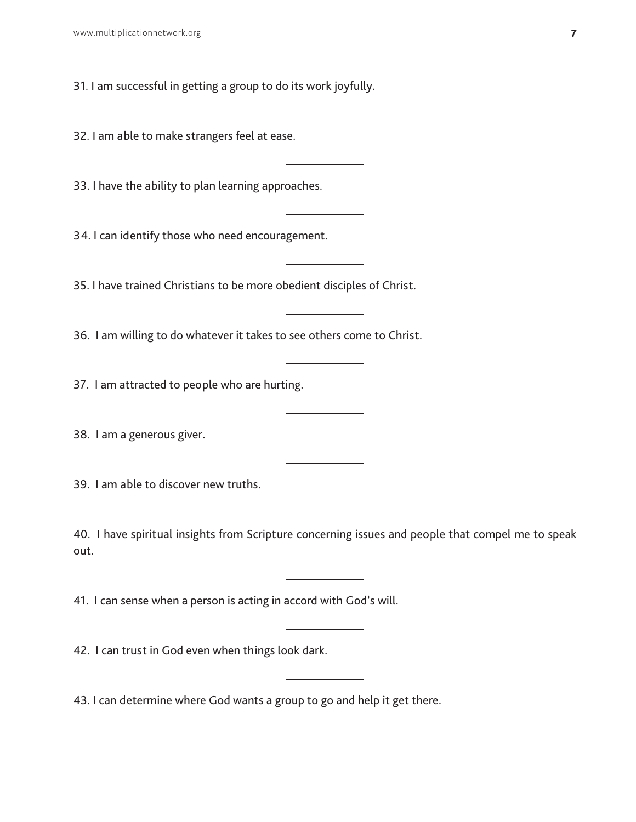31. I am successful in getting a group to do its work joyfully.

32. I am able to make strangers feel at ease.

33. I have the ability to plan learning approaches.

34. I can identify those who need encouragement.

35. I have trained Christians to be more obedient disciples of Christ.

36. I am willing to do whatever it takes to see others come to Christ.

37. I am attracted to people who are hurting.

38. I am a generous giver.

39. I am able to discover new truths.

40. I have spiritual insights from Scripture concerning issues and people that compel me to speak out.

41. I can sense when a person is acting in accord with God's will.

42. I can trust in God even when things look dark.

43. I can determine where God wants a group to go and help it get there.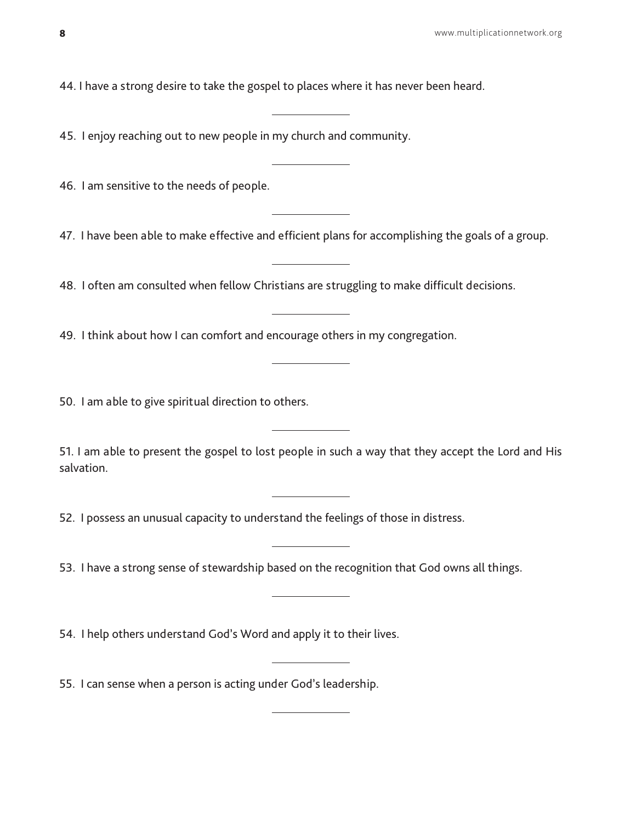44. I have a strong desire to take the gospel to places where it has never been heard.

45. I enjoy reaching out to new people in my church and community.

46. I am sensitive to the needs of people.

47. I have been able to make effective and efficient plans for accomplishing the goals of a group.

48. I often am consulted when fellow Christians are struggling to make difficult decisions.

49. I think about how I can comfort and encourage others in my congregation.

50. I am able to give spiritual direction to others.

51. I am able to present the gospel to lost people in such a way that they accept the Lord and His salvation.

52. I possess an unusual capacity to understand the feelings of those in distress.

53. I have a strong sense of stewardship based on the recognition that God owns all things.

54. I help others understand God's Word and apply it to their lives.

55. I can sense when a person is acting under God's leadership.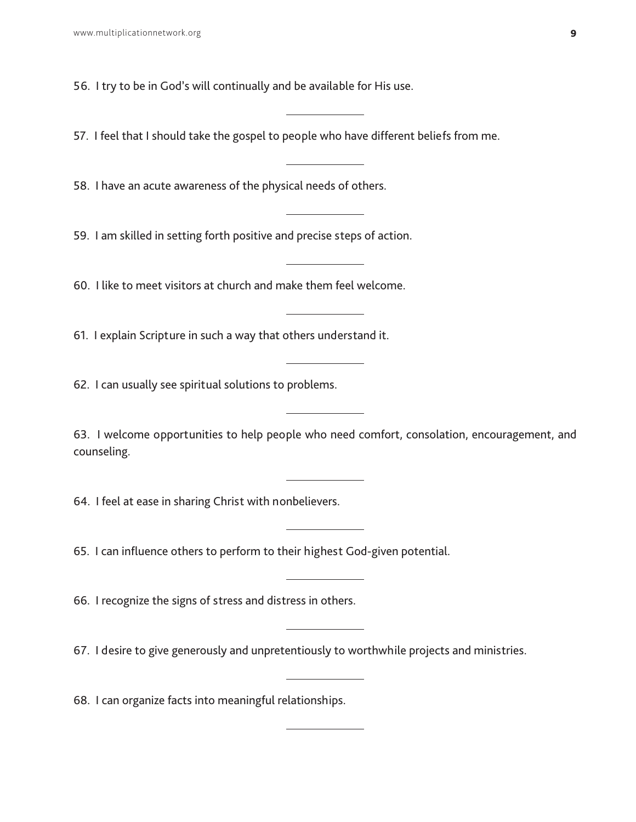56. I try to be in God's will continually and be available for His use.

57. I feel that I should take the gospel to people who have different beliefs from me.

58. I have an acute awareness of the physical needs of others.

59. I am skilled in setting forth positive and precise steps of action.

60. I like to meet visitors at church and make them feel welcome.

61. I explain Scripture in such a way that others understand it.

62. I can usually see spiritual solutions to problems.

63. I welcome opportunities to help people who need comfort, consolation, encouragement, and counseling.

64. I feel at ease in sharing Christ with nonbelievers.

65. I can influence others to perform to their highest God-given potential.

66. I recognize the signs of stress and distress in others.

67. I desire to give generously and unpretentiously to worthwhile projects and ministries.

68. I can organize facts into meaningful relationships.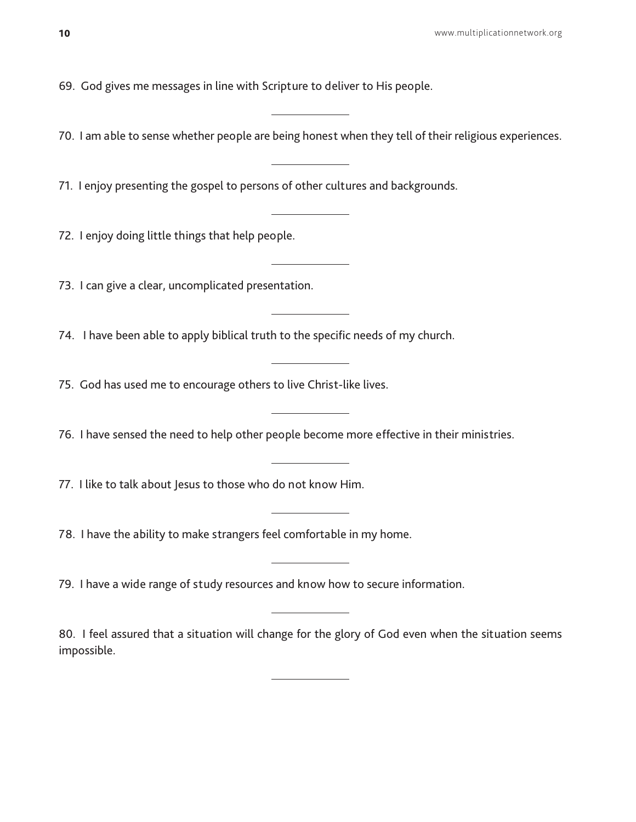69. God gives me messages in line with Scripture to deliver to His people.

70. I am able to sense whether people are being honest when they tell of their religious experiences.

71. I enjoy presenting the gospel to persons of other cultures and backgrounds.

72. I enjoy doing little things that help people.

73. I can give a clear, uncomplicated presentation.

74. I have been able to apply biblical truth to the specific needs of my church.

75. God has used me to encourage others to live Christ-like lives.

76. I have sensed the need to help other people become more effective in their ministries.

77. I like to talk about Jesus to those who do not know Him.

78. I have the ability to make strangers feel comfortable in my home.

79. I have a wide range of study resources and know how to secure information.

80. I feel assured that a situation will change for the glory of God even when the situation seems impossible.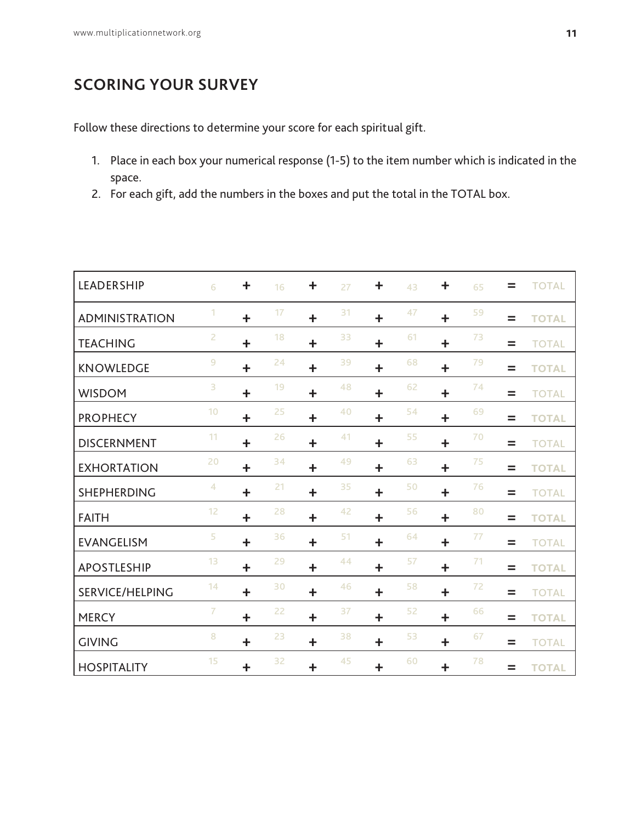## **SCORING YOUR SURVEY**

Follow these directions to determine your score for each spiritual gift.

- 1. Place in each box your numerical response (1-5) to the item number which is indicated in the space.
- 2. For each gift, add the numbers in the boxes and put the total in the TOTAL box.

| <b>LEADERSHIP</b>     | 6                       | $\ddagger$<br>16 | $\ddagger$<br>27 | $\ddagger$<br>43 | $\ddagger$<br>65 | <b>TOTAL</b><br>=        |
|-----------------------|-------------------------|------------------|------------------|------------------|------------------|--------------------------|
| <b>ADMINISTRATION</b> | 1                       | 17<br>$\ddot{}$  | 31<br>$\ddot{}$  | 47<br>$\ddot{}$  | 59<br>$\ddot{}$  | <b>TOTAL</b><br>$=$      |
| <b>TEACHING</b>       | $\overline{2}$          | 18<br>$\ddagger$ | 33<br>$\ddagger$ | 61<br>$\ddagger$ | 73<br>$\ddot{}$  | <b>TOTAL</b><br>$=$      |
| <b>KNOWLEDGE</b>      | $\overline{9}$          | 24<br>$\ddagger$ | 39<br>$\ddagger$ | 68<br>$\ddagger$ | 79<br>$\ddagger$ | <b>TOTAL</b><br>$=$      |
| <b>WISDOM</b>         | $\overline{\mathbf{3}}$ | 19<br>$\ddagger$ | 48<br>$\ddot{}$  | 62<br>$\ddot{}$  | 74<br>$\ddot{}$  | <b>TOTAL</b><br>$=$      |
| <b>PROPHECY</b>       | 10                      | 25<br>$\ddagger$ | 40<br>$\ddagger$ | 54<br>$\ddagger$ | 69<br>$\ddagger$ | <b>TOTAL</b><br>$\equiv$ |
| <b>DISCERNMENT</b>    | 11                      | 26<br>$\ddagger$ | 41<br>$\ddot{}$  | 55<br>$\ddot{}$  | 70<br>$\ddagger$ | <b>TOTAL</b><br>$=$      |
| <b>EXHORTATION</b>    | 20                      | 34<br>$\ddagger$ | 49<br>$\ddagger$ | 63<br>$\ddagger$ | 75<br>$\ddagger$ | <b>TOTAL</b><br>$=$      |
| <b>SHEPHERDING</b>    | $\overline{4}$          | 21<br>$\ddot{}$  | 35<br>$\ddot{}$  | 50<br>$\ddot{}$  | 76<br>$\ddot{}$  | <b>TOTAL</b><br>$=$      |
| <b>FAITH</b>          | 12                      | 28<br>$\ddagger$ | 42<br>$\ddot{}$  | 56<br>$\ddot{}$  | 80<br>$\ddot{}$  | <b>TOTAL</b><br>Ξ        |
| <b>EVANGELISM</b>     | 5                       | 36<br>$\ddagger$ | 51<br>$\ddagger$ | 64<br>$\ddagger$ | 77<br>$\ddagger$ | <b>TOTAL</b><br>=        |
| <b>APOSTLESHIP</b>    | 13                      | 29<br>$\ddagger$ | 44<br>$\ddot{}$  | 57<br>$\ddot{}$  | 71<br>$\ddagger$ | <b>TOTAL</b><br>=        |
| SERVICE/HELPING       | 14                      | 30<br>$\ddot{}$  | 46<br>$\ddot{}$  | 58<br>$\ddot{}$  | 72<br>$\ddot{}$  | <b>TOTAL</b><br>$=$      |
| <b>MERCY</b>          | $\overline{7}$          | 22<br>$\ddagger$ | 37<br>Ł          | 52<br>$\ddagger$ | 66<br>$\ddot{}$  | $=$<br><b>TOTAL</b>      |
| <b>GIVING</b>         | 8                       | 23<br>$\ddagger$ | 38<br>$\ddagger$ | 53<br>$\ddagger$ | 67<br>$\ddagger$ | <b>TOTAL</b><br>$=$      |
| <b>HOSPITALITY</b>    | 15                      | 32<br>$\ddagger$ | 45<br>$\ddagger$ | 60<br>$\ddagger$ | 78<br>╋          | <b>TOTAL</b>             |